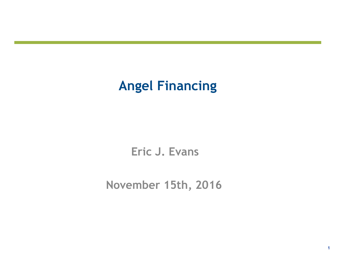### **Angel Financing**

**Eric J. Evans**

**November 15th, 2016**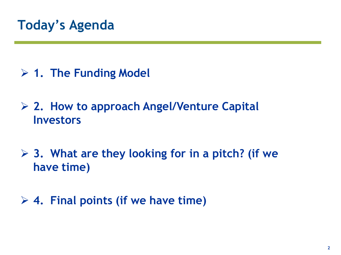#### **1. The Funding Model**

 **2. How to approach Angel/Venture Capital Investors**

 **3. What are they looking for in a pitch? (if we have time)**

#### **4. Final points (if we have time)**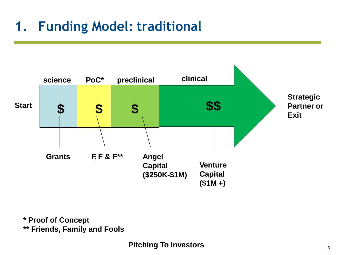# **1. Funding Model: traditional**



**\* Proof of Concept \*\* Friends, Family and Fools**

**Pitching To Investors**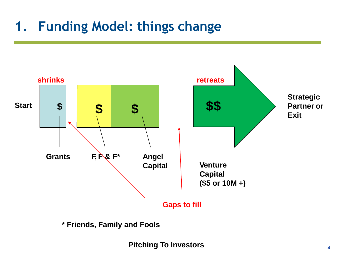# **1. Funding Model: things change**



**\* Friends, Family and Fools**

**Pitching To Investors**  $\frac{4}{4}$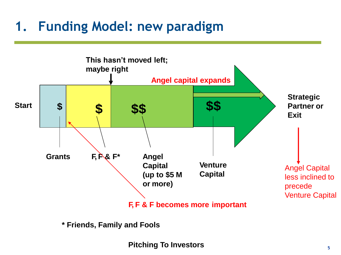## **1. Funding Model: new paradigm**



**\* Friends, Family and Fools**

Pitching To Investors **Figure 1.1**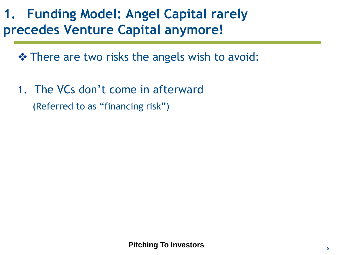## **1. Funding Model: Angel Capital rarely precedes Venture Capital anymore!**

 $\triangle$  **There are two risks the angels wish to avoid:** 

1. The VCs don't come in afterward (Referred to as "financing risk")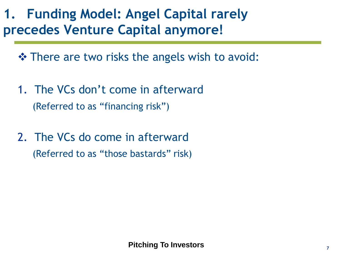## **1. Funding Model: Angel Capital rarely precedes Venture Capital anymore!**

 $\triangle$  **There are two risks the angels wish to avoid:** 

- 1. The VCs don't come in afterward (Referred to as "financing risk")
- 2. The VCs do come in afterward (Referred to as "those bastards" risk)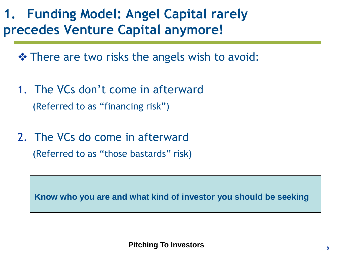### **1. Funding Model: Angel Capital rarely precedes Venture Capital anymore!**

 $\triangle$  **There are two risks the angels wish to avoid:** 

- 1. The VCs don't come in afterward (Referred to as "financing risk")
- 2. The VCs do come in afterward (Referred to as "those bastards" risk)

**Know who you are and what kind of investor you should be seeking**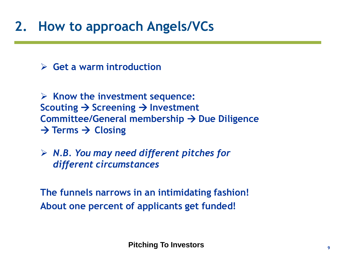#### **2. How to approach Angels/VCs**

**Get a warm introduction**

 **Know the investment sequence: Scouting → Screening → Investment Committee/General membership → Due Diligence**  $\rightarrow$  Terms  $\rightarrow$  Closing

 *N.B. You may need different pitches for different circumstances*

**The funnels narrows in an intimidating fashion! About one percent of applicants get funded!**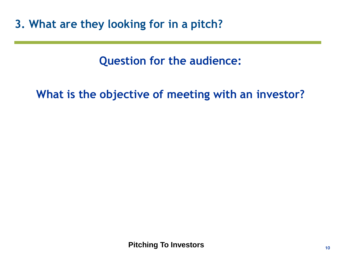**Question for the audience:**

**What is the objective of meeting with an investor?**

**Pitching To Investors**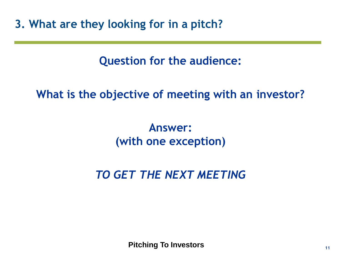**Question for the audience:**

**What is the objective of meeting with an investor?**

**Answer: (with one exception)**

*TO GET THE NEXT MEETING*

**Pitching To Investors**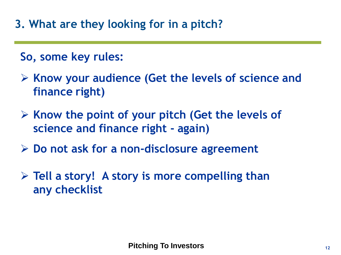#### **So, some key rules:**

- **Know your audience (Get the levels of science and finance right)**
- **Know the point of your pitch (Get the levels of science and finance right - again)**
- **Do not ask for a non-disclosure agreement**
- **Tell a story! A story is more compelling than any checklist**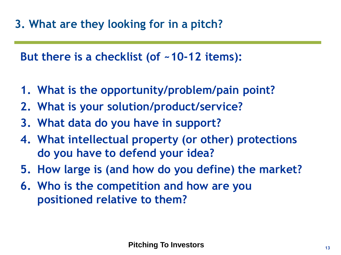**But there is a checklist (of ~10-12 items):**

- **1. What is the opportunity/problem/pain point?**
- **2. What is your solution/product/service?**
- **3. What data do you have in support?**
- **4. What intellectual property (or other) protections do you have to defend your idea?**
- **5. How large is (and how do you define) the market?**
- **6. Who is the competition and how are you positioned relative to them?**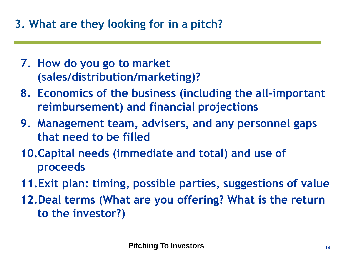- **7. How do you go to market (sales/distribution/marketing)?**
- **8. Economics of the business (including the all-important reimbursement) and financial projections**
- **9. Management team, advisers, and any personnel gaps that need to be filled**
- **10.Capital needs (immediate and total) and use of proceeds**
- **11.Exit plan: timing, possible parties, suggestions of value**
- **12.Deal terms (What are you offering? What is the return to the investor?)**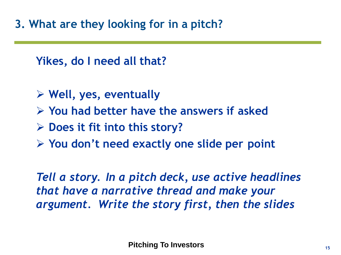**Yikes, do I need all that?**

- **Well, yes, eventually**
- **You had better have the answers if asked**
- **Does it fit into this story?**
- **You don't need exactly one slide per point**

*Tell a story. In a pitch deck, use active headlines that have a narrative thread and make your argument. Write the story first, then the slides*